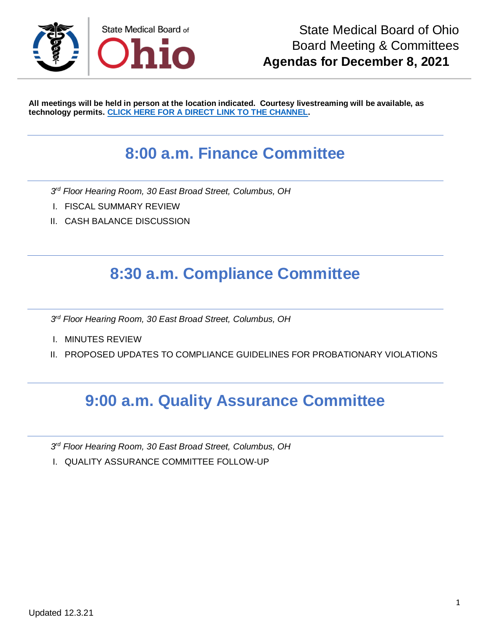

**All meetings will be held in person at the location indicated. Courtesy livestreaming will be available, as technology permits. [CLICK HERE FOR A DIRECT LINK TO THE CHANNEL.](https://www.youtube.com/channel/UCWBHBfwOyUtBZmBEZvtYPvA)**

## **8:00 a.m. Finance Committee**

*3 rd Floor Hearing Room, 30 East Broad Street, Columbus, OH*

- I. FISCAL SUMMARY REVIEW
- II. CASH BALANCE DISCUSSION

# **8:30 a.m. Compliance Committee**

*3 rd Floor Hearing Room, 30 East Broad Street, Columbus, OH*

- I. MINUTES REVIEW
- II. PROPOSED UPDATES TO COMPLIANCE GUIDELINES FOR PROBATIONARY VIOLATIONS

### **9:00 a.m. Quality Assurance Committee**

*3 rd Floor Hearing Room, 30 East Broad Street, Columbus, OH*

I. QUALITY ASSURANCE COMMITTEE FOLLOW-UP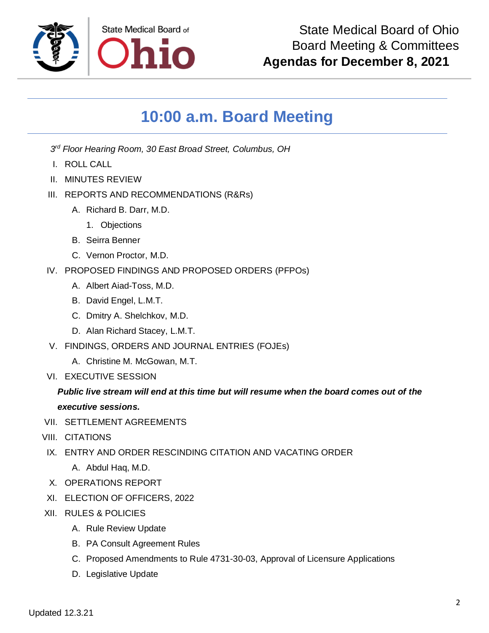

# **10:00 a.m. Board Meeting**

*3 rd Floor Hearing Room, 30 East Broad Street, Columbus, OH*

- I. ROLL CALL
- II. MINUTES REVIEW
- III. REPORTS AND RECOMMENDATIONS (R&Rs)
	- A. Richard B. Darr, M.D.
		- 1. Objections
	- B. Seirra Benner
	- C. Vernon Proctor, M.D.
- IV. PROPOSED FINDINGS AND PROPOSED ORDERS (PFPOs)
	- A. Albert Aiad-Toss, M.D.
	- B. David Engel, L.M.T.
	- C. Dmitry A. Shelchkov, M.D.
	- D. Alan Richard Stacey, L.M.T.
- V. FINDINGS, ORDERS AND JOURNAL ENTRIES (FOJEs)
	- A. Christine M. McGowan, M.T.
- VI. EXECUTIVE SESSION

#### *Public live stream will end at this time but will resume when the board comes out of the*

#### *executive sessions.*

- VII. SETTLEMENT AGREEMENTS
- VIII. CITATIONS
- IX. ENTRY AND ORDER RESCINDING CITATION AND VACATING ORDER
	- A. Abdul Haq, M.D.
- X. OPERATIONS REPORT
- XI. ELECTION OF OFFICERS, 2022
- XII. RULES & POLICIES
	- A. Rule Review Update
	- B. PA Consult Agreement Rules
	- C. Proposed Amendments to Rule 4731-30-03, Approval of Licensure Applications
	- D. Legislative Update